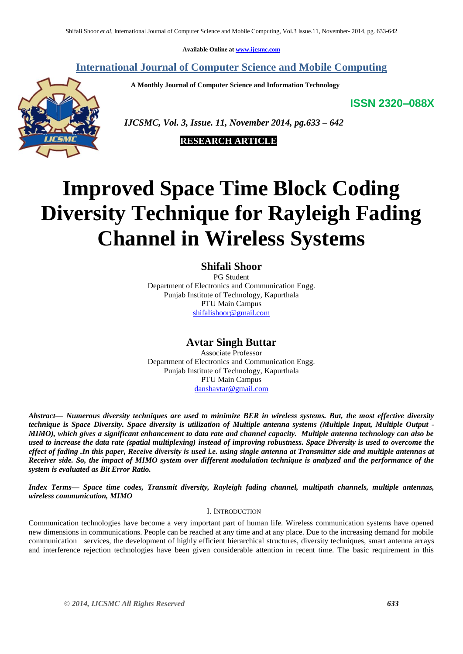**Available Online at [www.ijcsmc.com](http://www.ijcsmc.com/)**

# **International Journal of Computer Science and Mobile Computing**

 **A Monthly Journal of Computer Science and Information Technology**

**ISSN 2320–088X**



 *IJCSMC, Vol. 3, Issue. 11, November 2014, pg.633 – 642*



# **Improved Space Time Block Coding Diversity Technique for Rayleigh Fading Channel in Wireless Systems**

**Shifali Shoor**

PG Student Department of Electronics and Communication Engg. Punjab Institute of Technology, Kapurthala PTU Main Campus [shifalishoor@gmail.com](mailto:shifalishoor@gmail.com)

# **Avtar Singh Buttar**

Associate Professor Department of Electronics and Communication Engg. Punjab Institute of Technology, Kapurthala PTU Main Campus [danshavtar@gmail.com](mailto:danshavtar@gmail.com)

*Abstract— Numerous diversity techniques are used to minimize BER in wireless systems. But, the most effective diversity technique is Space Diversity. Space diversity is utilization of Multiple antenna systems (Multiple Input, Multiple Output - MIMO), which gives a significant enhancement to data rate and channel capacity. Multiple antenna technology can also be used to increase the data rate (spatial multiplexing) instead of improving robustness. Space Diversity is used to overcome the effect of fading .In this paper, Receive diversity is used i.e. using single antenna at Transmitter side and multiple antennas at Receiver side. So, the impact of MIMO system over different modulation technique is analyzed and the performance of the system is evaluated as Bit Error Ratio.*

*Index Terms— Space time codes, Transmit diversity, Rayleigh fading channel, multipath channels, multiple antennas, wireless communication, MIMO*

## I. INTRODUCTION

Communication technologies have become a very important part of human life. Wireless communication systems have opened new dimensions in communications. People can be reached at any time and at any place. Due to the increasing demand for mobile communication services, the development of highly efficient hierarchical structures, diversity techniques, smart antenna arrays and interference rejection technologies have been given considerable attention in recent time. The basic requirement in this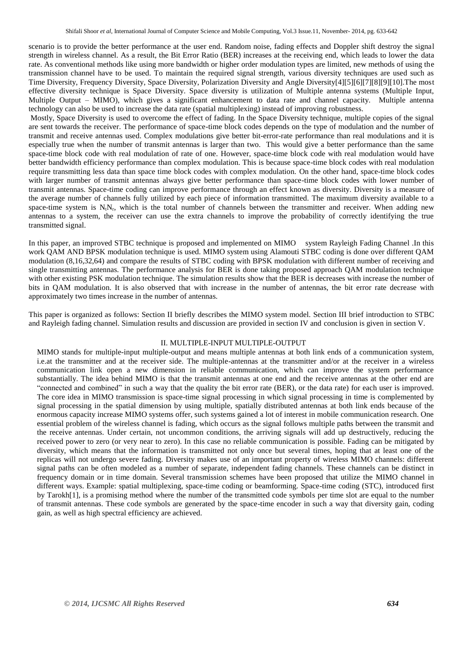scenario is to provide the better performance at the user end. Random noise, fading effects and Doppler shift destroy the signal strength in wireless channel. As a result, the Bit Error Ratio (BER) increases at the receiving end, which leads to lower the data rate. As conventional methods like using more bandwidth or higher order modulation types are limited, new methods of using the transmission channel have to be used. To maintain the required signal strength, various diversity techniques are used such as Time Diversity, Frequency Diversity, Space Diversity, Polarization Diversity and Angle Diversity[4][5][6][7][8][9][10].The most effective diversity technique is Space Diversity. Space diversity is utilization of Multiple antenna systems (Multiple Input, Multiple Output – MIMO), which gives a significant enhancement to data rate and channel capacity. Multiple antenna technology can also be used to increase the data rate (spatial multiplexing) instead of improving robustness.

Mostly, Space Diversity is used to overcome the effect of fading. In the Space Diversity technique, multiple copies of the signal are sent towards the receiver. The performance of space-time block codes depends on the type of modulation and the number of transmit and receive antennas used. Complex modulations give better bit-error-rate performance than real modulations and it is especially true when the number of transmit antennas is larger than two. This would give a better performance than the same space-time block code with real modulation of rate of one. However, space-time block code with real modulation would have better bandwidth efficiency performance than complex modulation. This is because space-time block codes with real modulation require transmitting less data than space time block codes with complex modulation. On the other hand, space-time block codes with larger number of transmit antennas always give better performance than space-time block codes with lower number of transmit antennas. Space-time coding can improve performance through an effect known as diversity. Diversity is a measure of the average number of channels fully utilized by each piece of information transmitted. The maximum diversity available to a space-time system is  $N_tN_r$ , which is the total number of channels between the transmitter and receiver. When adding new antennas to a system, the receiver can use the extra channels to improve the probability of correctly identifying the true transmitted signal.

In this paper, an improved STBC technique is proposed and implemented on MIMO system Rayleigh Fading Channel .In this work QAM AND BPSK modulation technique is used. MIMO system using Alamouti STBC coding is done over different QAM modulation (8,16,32,64) and compare the results of STBC coding with BPSK modulation with different number of receiving and single transmitting antennas. The performance analysis for BER is done taking proposed approach QAM modulation technique with other existing PSK modulation technique. The simulation results show that the BER is decreases with increase the number of bits in QAM modulation. It is also observed that with increase in the number of antennas, the bit error rate decrease with approximately two times increase in the number of antennas.

This paper is organized as follows: Section II briefly describes the MIMO system model. Section III brief introduction to STBC and Rayleigh fading channel. Simulation results and discussion are provided in section IV and conclusion is given in section V.

#### II. MULTIPLE-INPUT MULTIPLE-OUTPUT

MIMO stands for multiple-input multiple-output and means multiple antennas at both link ends of a communication system, i.e.at the transmitter and at the receiver side. The multiple-antennas at the transmitter and/or at the receiver in a wireless communication link open a new dimension in reliable communication, which can improve the system performance substantially. The idea behind MIMO is that the transmit antennas at one end and the receive antennas at the other end are "connected and combined" in such a way that the quality the bit error rate (BER), or the data rate) for each user is improved. The core idea in MIMO transmission is space-time signal processing in which signal processing in time is complemented by signal processing in the spatial dimension by using multiple, spatially distributed antennas at both link ends because of the enormous capacity increase MIMO systems offer, such systems gained a lot of interest in mobile communication research. One essential problem of the wireless channel is fading, which occurs as the signal follows multiple paths between the transmit and the receive antennas. Under certain, not uncommon conditions, the arriving signals will add up destructively, reducing the received power to zero (or very near to zero). In this case no reliable communication is possible. Fading can be mitigated by diversity, which means that the information is transmitted not only once but several times, hoping that at least one of the replicas will not undergo severe fading. Diversity makes use of an important property of wireless MIMO channels: different signal paths can be often modeled as a number of separate, independent fading channels. These channels can be distinct in frequency domain or in time domain. Several transmission schemes have been proposed that utilize the MIMO channel in different ways. Example: spatial multiplexing, space-time coding or beamforming. Space-time coding (STC), introduced first by Tarokh[1], is a promising method where the number of the transmitted code symbols per time slot are equal to the number of transmit antennas. These code symbols are generated by the space-time encoder in such a way that diversity gain, coding gain, as well as high spectral efficiency are achieved.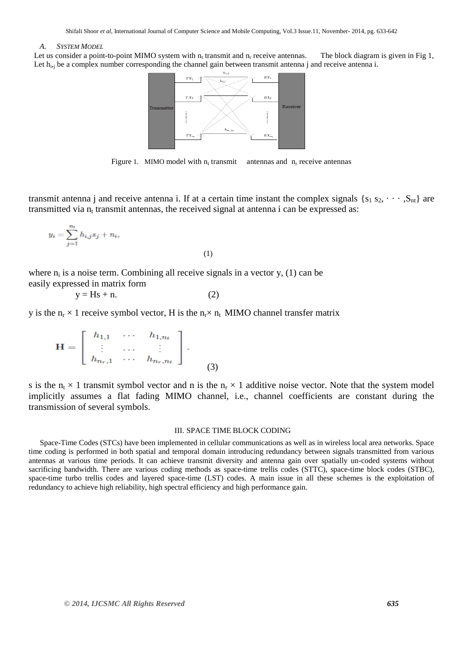#### *A. SYSTEM MODEL*

Let us consider a point-to-point MIMO system with  $n_t$  transmit and  $n_r$  receive antennas. The block diagram is given in Fig 1, Let h<sub>ij</sub> be a complex number corresponding the channel gain between transmit antenna j and receive antenna i.



Figure 1. MIMO model with  $n_t$  transmit antennas and  $n_r$  receive antennas

transmit antenna j and receive antenna i. If at a certain time instant the complex signals  $\{s_1 s_2, \cdots, S_{nt}\}$  are transmitted via  $n_t$  transmit antennas, the received signal at antenna i can be expressed as:

$$
y_i = \sum_{j=1}^{n_t} h_{i,j} s_j + n_i,
$$
\n(1)

where  $n_i$  is a noise term. Combining all receive signals in a vector y, (1) can be easily expressed in matrix form

 $y = Hs + n.$  (2)

y is the 
$$
n_r \times 1
$$
 receive symbol vector, H is the  $n_r \times n_t$  MIMO channel transfer matrix

 $\mathbb{C}$  and  $\mathbb{C}$  are  $(3)$ 

s is the  $n_t \times 1$  transmit symbol vector and n is the  $n_r \times 1$  additive noise vector. Note that the system model implicitly assumes a flat fading MIMO channel, i.e., channel coefficients are constant during the transmission of several symbols.

#### III. SPACE TIME BLOCK CODING

Space-Time Codes (STCs) have been implemented in cellular communications as well as in wireless local area networks. Space time coding is performed in both spatial and temporal domain introducing redundancy between signals transmitted from various antennas at various time periods. It can achieve transmit diversity and antenna gain over spatially un-coded systems without sacrificing bandwidth. There are various coding methods as space-time trellis codes (STTC), space-time block codes (STBC), space-time turbo trellis codes and layered space-time (LST) codes. A main issue in all these schemes is the exploitation of redundancy to achieve high reliability, high spectral efficiency and high performance gain.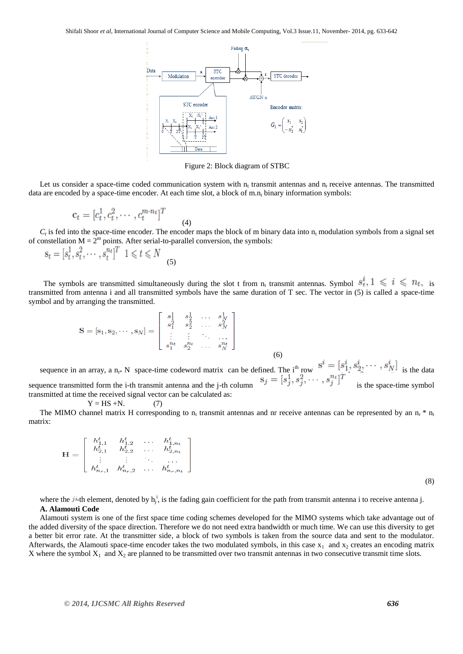

Figure 2: Block diagram of STBC

Let us consider a space-time coded communication system with  $n_t$  transmit antennas and  $n_r$  receive antennas. The transmitted data are encoded by a space-time encoder. At each time slot, a block of  $m.n<sub>t</sub>$  binary information symbols:

$$
\mathbf{c}_t = [c_t^1, c_t^2, \cdots, c_t^{m \cdot n_t}]^T
$$
\n(4)

 $C_t$  is fed into the space-time encoder. The encoder maps the block of m binary data into  $n_t$  modulation symbols from a signal set of constellation  $M = 2^m$  points. After serial-to-parallel conversion, the symbols:

$$
\mathbf{s}_t = [s_t^1, s_t^2, \cdots, s_t^{n_t}]^T \quad 1 \leq t \leq N \tag{5}
$$

The symbols are transmitted simultaneously during the slot t from  $n_t$  transmit antennas. Symbol  $s_t^*$ ,  $1 \leq t \leq n_t$ , is transmitted from antenna i and all transmitted symbols have the same duration of T sec. The vector in (5) is called a space-time symbol and by arranging the transmitted.

$$
\mathbf{S} = [\mathbf{s}_1, \mathbf{s}_2, \cdots, \mathbf{s}_N] = \begin{bmatrix} s_1^1 & s_2^1 & \cdots & s_N^1 \\ s_1^2 & s_2^2 & \cdots & s_N^2 \\ \vdots & \vdots & \ddots & \vdots \\ s_1^{n_t} & s_2^{n_t} & \cdots & s_N^{n_t} \end{bmatrix}
$$
(6)

sequence in an array, a n<sub>t</sub>\* N space-time codeword matrix can be defined. The i<sup>th</sup> row  $s = [s_1, s_2, \cdots, s_N]$  is the data sequence transmitted form the i-th transmit antenna and the j-th column  $\sigma$  is the space-time symbol transmitted at time the received signal vector can be calculated as:

$$
Y = HS + N. \tag{7}
$$

The MIMO channel matrix H corresponding to  $n_t$  transmit antennas and nr receive antennas can be represented by an  $n_t * n_t$ matrix:

$$
\mathbf{H} = \left[ \begin{array}{cccc} h_{1,1}^t & h_{1,2}^t & \dots & h_{1,n_t}^t \\ h_{2,1}^t & h_{2,2}^t & \dots & h_{2,n_t}^t \\ \vdots & \vdots & \ddots & \vdots \\ h_{n_r,1}^t & h_{n_r,2}^t & \dots & h_{n_r,n_t}^t \end{array} \right]
$$

(8)

where the  $ji$ -th element, denoted by  $h_j^i$ , is the fading gain coefficient for the path from transmit antenna i to receive antenna j. **A. Alamouti Code**

Alamouti system is one of the first space time coding schemes developed for the MIMO systems which take advantage out of the added diversity of the space direction. Therefore we do not need extra bandwidth or much time. We can use this diversity to get a better bit error rate. At the transmitter side, a block of two symbols is taken from the source data and sent to the modulator. Afterwards, the Alamouti space-time encoder takes the two modulated symbols, in this case  $x_1$  and  $x_2$  creates an encoding matrix X where the symbol  $X_1$  and  $X_2$  are planned to be transmitted over two transmit antennas in two consecutive transmit time slots.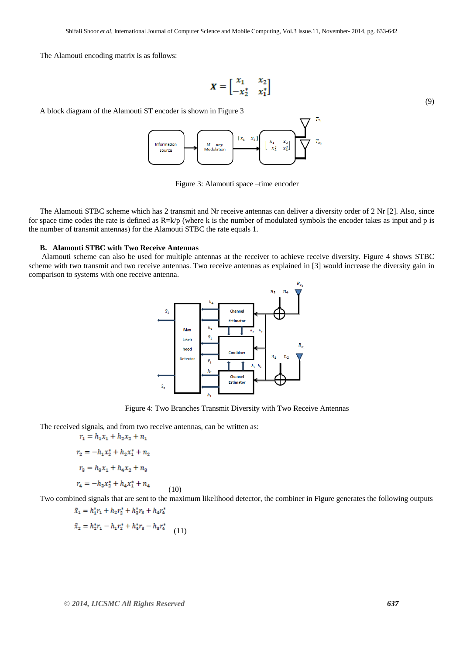The Alamouti encoding matrix is as follows:

$$
\boldsymbol{X} = \begin{bmatrix} x_1 & x_2 \\ -x_2^* & x_1^* \end{bmatrix} \tag{9}
$$

A block diagram of the Alamouti ST encoder is shown in Figure 3



Figure 3: Alamouti space –time encoder

The Alamouti STBC scheme which has 2 transmit and Nr receive antennas can deliver a diversity order of 2 Nr [2]. Also, since for space time codes the rate is defined as  $R=k/p$  (where k is the number of modulated symbols the encoder takes as input and p is the number of transmit antennas) for the Alamouti STBC the rate equals 1.

#### **B. Alamouti STBC with Two Receive Antennas**

Alamouti scheme can also be used for multiple antennas at the receiver to achieve receive diversity. Figure 4 shows STBC scheme with two transmit and two receive antennas. Two receive antennas as explained in [3] would increase the diversity gain in comparison to systems with one receive antenna.



Figure 4: Two Branches Transmit Diversity with Two Receive Antennas

The received signals, and from two receive antennas, can be written as:

$$
r_1 = h_1 x_1 + h_2 x_2 + n_1
$$
  
\n
$$
r_2 = -h_1 x_2^* + h_2 x_1^* + n_2
$$
  
\n
$$
r_3 = h_3 x_1 + h_4 x_2 + n_3
$$
  
\n
$$
r_4 = -h_3 x_2^* + h_4 x_1^* + n_4
$$
 (10)

Two combined signals that are sent to the maximum likelihood detector, the combiner in Figure generates the following outputs

$$
\tilde{x}_1 = h_1^* r_1 + h_2 r_2^* + h_3^* r_3 + h_4 r_4^*
$$

$$
\tilde{x}_2 = h_2^* r_1 - h_1 r_2^* + h_4^* r_3 - h_3 r_4^* \tag{11}
$$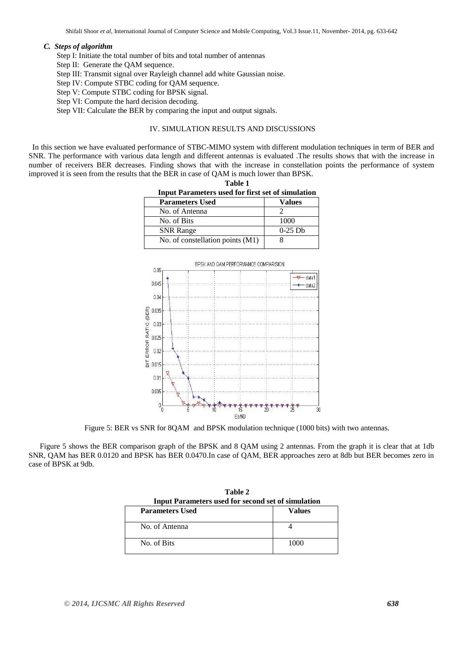## *C. Steps of algorithm*

Step I: Initiate the total number of bits and total number of antennas

- Step II: Generate the QAM sequence.
- Step III: Transmit signal over Rayleigh channel add white Gaussian noise.
- Step IV: Compute STBC coding for QAM sequence.
- Step V: Compute STBC coding for BPSK signal.
- Step VI: Compute the hard decision decoding.
- Step VII: Calculate the BER by comparing the input and output signals.

## IV. SIMULATION RESULTS AND DISCUSSIONS

In this section we have evaluated performance of STBC-MIMO system with different modulation techniques in term of BER and SNR. The performance with various data length and different antennas is evaluated .The results shows that with the increase in number of receivers BER decreases. Finding shows that with the increase in constellation points the performance of system improved it is seen from the results that the BER in case of QAM is much lower than BPSK.

**Table 1**

| <b>Input Parameters used for first set of simulation</b> |                       |  |
|----------------------------------------------------------|-----------------------|--|
| <b>Parameters Used</b>                                   | <b>Values</b>         |  |
| No. of Antenna                                           |                       |  |
| No. of Bits                                              | 1000                  |  |
| <b>SNR Range</b>                                         | $0-25$ D <sub>b</sub> |  |
| No. of constellation points (M1)                         |                       |  |



Figure 5: BER vs SNR for 8QAM and BPSK modulation technique (1000 bits) with two antennas.

Figure 5 shows the BER comparison graph of the BPSK and 8 QAM using 2 antennas. From the graph it is clear that at 1db SNR, QAM has BER 0.0120 and BPSK has BER 0.0470.In case of QAM, BER approaches zero at 8db but BER becomes zero in case of BPSK at 9db.

| $1$ and $2$<br><b>Input Parameters used for second set of simulation</b> |        |  |
|--------------------------------------------------------------------------|--------|--|
| <b>Parameters Used</b>                                                   | Values |  |
| No. of Antenna                                                           |        |  |
| No. of Bits                                                              | 1000   |  |

**Table 2**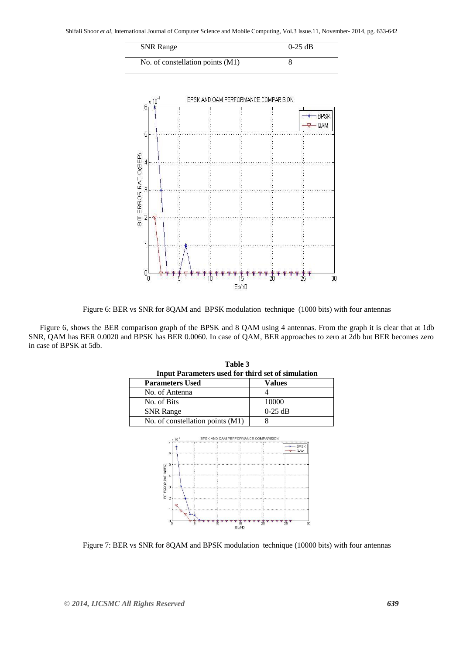| <b>SNR</b> Range                 | $0-25$ dB |
|----------------------------------|-----------|
| No. of constellation points (M1) |           |



Figure 6: BER vs SNR for 8QAM and BPSK modulation technique (1000 bits) with four antennas

Figure 6, shows the BER comparison graph of the BPSK and 8 QAM using 4 antennas. From the graph it is clear that at 1db SNR, QAM has BER 0.0020 and BPSK has BER 0.0060. In case of QAM, BER approaches to zero at 2db but BER becomes zero in case of BPSK at 5db.

**Table 3**

| <b>Input Parameters used for third set of simulation</b> |           |
|----------------------------------------------------------|-----------|
| <b>Parameters Used</b>                                   | Values    |
| No. of Antenna                                           |           |
| No. of Bits                                              | 10000     |
| <b>SNR</b> Range                                         | $0-25$ dB |
| No. of constellation points (M1)                         |           |



Figure 7: BER vs SNR for 8QAM and BPSK modulation technique (10000 bits) with four antennas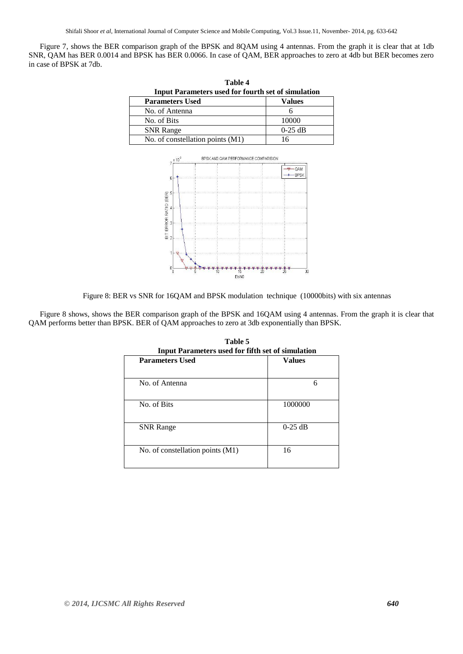Shifali Shoor *et al*, International Journal of Computer Science and Mobile Computing, Vol.3 Issue.11, November- 2014, pg. 633-642

Figure 7, shows the BER comparison graph of the BPSK and 8QAM using 4 antennas. From the graph it is clear that at 1db SNR, QAM has BER 0.0014 and BPSK has BER 0.0066. In case of QAM, BER approaches to zero at 4db but BER becomes zero in case of BPSK at 7db.

| <b>Input Parameters used for fourth set of simulation</b> |           |
|-----------------------------------------------------------|-----------|
| <b>Parameters Used</b>                                    | Values    |
| No. of Antenna                                            |           |
| No. of Bits                                               | 10000     |
| <b>SNR</b> Range                                          | $0-25$ dB |
| No. of constellation points (M1)                          |           |

**Table 4**



Figure 8: BER vs SNR for 16QAM and BPSK modulation technique (10000bits) with six antennas

Figure 8 shows, shows the BER comparison graph of the BPSK and 16QAM using 4 antennas. From the graph it is clear that QAM performs better than BPSK. BER of QAM approaches to zero at 3db exponentially than BPSK.

| <b>Input Parameters used for fifth set of simulation</b> |               |  |
|----------------------------------------------------------|---------------|--|
| <b>Parameters Used</b>                                   | <b>Values</b> |  |
| No. of Antenna                                           | 6             |  |
| No. of Bits                                              | 1000000       |  |
| <b>SNR</b> Range                                         | $0-25$ dB     |  |
| No. of constellation points (M1)                         | 16            |  |

**Table 5 Input Parameters used for fifth set of simulation**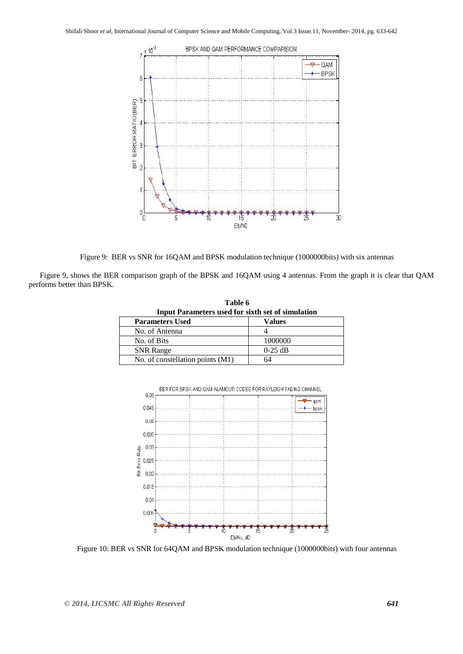

Figure 9: BER vs SNR for 16QAM and BPSK modulation technique (1000000bits) with six antennas

**Table 6**

Figure 9, shows the BER comparison graph of the BPSK and 16QAM using 4 antennas. From the graph it is clear that QAM performs better than BPSK.

| <b>Input Parameters used for sixth set of simulation</b> |           |  |
|----------------------------------------------------------|-----------|--|
| <b>Parameters Used</b>                                   | Values    |  |
| No. of Antenna                                           |           |  |
| No. of Bits                                              | 1000000   |  |
| <b>SNR</b> Range                                         | $0-25$ dB |  |
| No. of constellation points (M1)                         |           |  |



BER FOR BPSK AND QAM ALAMOUTI CODES FOR RAYLEIGH FADING CHANNEL

Figure 10: BER vs SNR for 64QAM and BPSK modulation technique (1000000bits) with four antennas